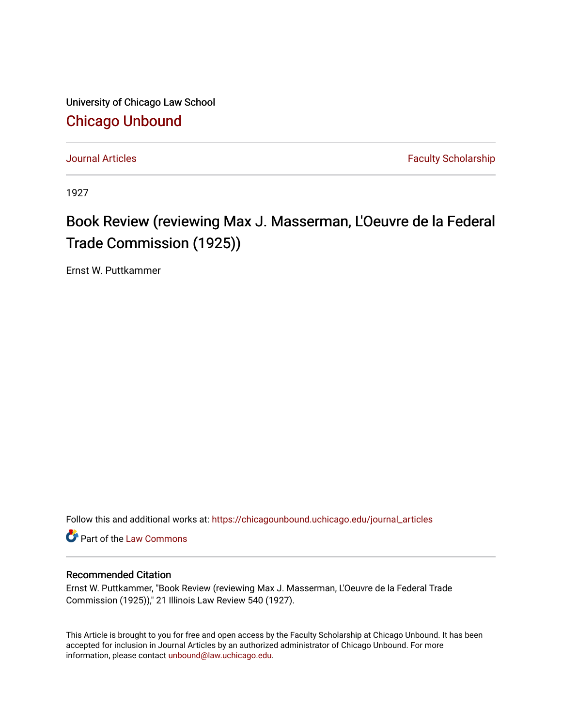University of Chicago Law School [Chicago Unbound](https://chicagounbound.uchicago.edu/)

[Journal Articles](https://chicagounbound.uchicago.edu/journal_articles) **Faculty Scholarship Journal Articles** 

1927

## Book Review (reviewing Max J. Masserman, L'Oeuvre de la Federal Trade Commission (1925))

Ernst W. Puttkammer

Follow this and additional works at: [https://chicagounbound.uchicago.edu/journal\\_articles](https://chicagounbound.uchicago.edu/journal_articles?utm_source=chicagounbound.uchicago.edu%2Fjournal_articles%2F2835&utm_medium=PDF&utm_campaign=PDFCoverPages) 

Part of the [Law Commons](http://network.bepress.com/hgg/discipline/578?utm_source=chicagounbound.uchicago.edu%2Fjournal_articles%2F2835&utm_medium=PDF&utm_campaign=PDFCoverPages)

## Recommended Citation

Ernst W. Puttkammer, "Book Review (reviewing Max J. Masserman, L'Oeuvre de la Federal Trade Commission (1925))," 21 Illinois Law Review 540 (1927).

This Article is brought to you for free and open access by the Faculty Scholarship at Chicago Unbound. It has been accepted for inclusion in Journal Articles by an authorized administrator of Chicago Unbound. For more information, please contact [unbound@law.uchicago.edu](mailto:unbound@law.uchicago.edu).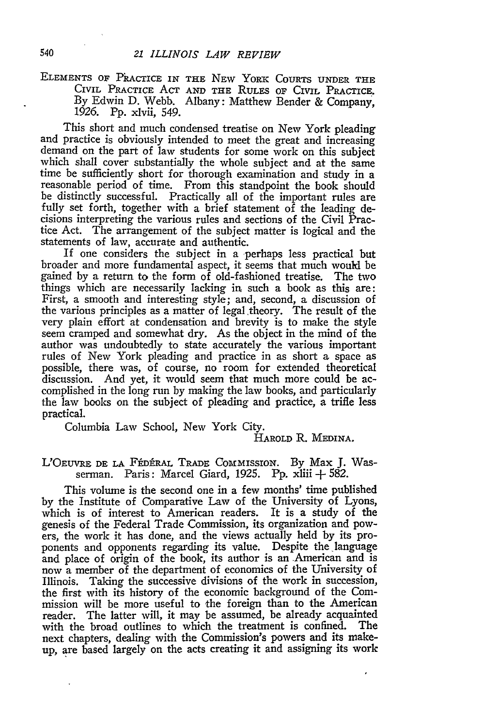## ELEMENTS OF PRACTICE IN THE NEW YORK COURTS UNDER THE CIVIL PRACTICE **ACT AND THE RULES** OF CIVIL PRACTICE. By Edwin D. Webb. Albany: Matthew Bender & Company, 1926. Pp. xlvii, 549.

This short and much condensed treatise on New York pleading and practice is obviously intended to meet the great and increasing demand on the part of law students for some work on this subject which shall cover substantially the whole subject and at the same time be sufficiently short for thorough examination and study in a reasonable period of time. From this standpoint the book should be distinctly successful. Practically all of the important rules are fully set forth, together with a brief statement of the leading decisions interpreting the various rules and sections of the Civil Practice Act. The arrangement of the subject matter is logical and the statements of law, accurate and authentic.

If one considers the subject in a perhaps less practical but broader and more fundamental aspect, it seems that much would be gained **by** a return to the form of old-fashioned treatise. The two things which are necessarily lacking in such a book as this are: First, a smooth and interesting style; and, second, a discussion of the various principles as a matter of legal theory. The result of the very plain effort at condensation and brevity is to make the style seem cramped and somewhat dry. As the object in the mind of the author was undoubtedly to state accurately the various important rules of New York pleading and practice in as short a space as possible, there was, of course, no room for extended theoretical discussion. And yet, it would seem that much more could be accomplished in the long run **by** making the law books, and particularly the law books on the subject of pleading and practice, a trifle less practical.

Columbia Law School, New York City.

## **HAROLD** R. **MEDINA.**

L'OEuvRE **DE LA FkDtRAL TRADE COMMISSION. By** Max **J.** Wasserman. Paris: Marcel Giard, 1925. **Pp.** xliii **+** 582.

This volume is the second one in a few months' time published **by** the Institute of Comparative Law of the University of Lyons, which is of interest to American readers. It is a study of the genesis of the Federal Trade Commission, its organization and powers, the work it has done, and the views actually held **by** its proponents and opponents regarding its value. Despite the language and place of origin of the book, its author is an American and is now a member of the department of economics of the University of Illinois. Taking the successive divisions of the work in succession, the first with its history of the economic background of the Commission will be more useful to the foreign than to the American reader. The latter will, it may be assumed, be already acquainted with the broad outlines to which the treatment is confined. The next chapters, dealing with the Commission's powers and its makeup, are based largely on the acts creating it and assigning its work